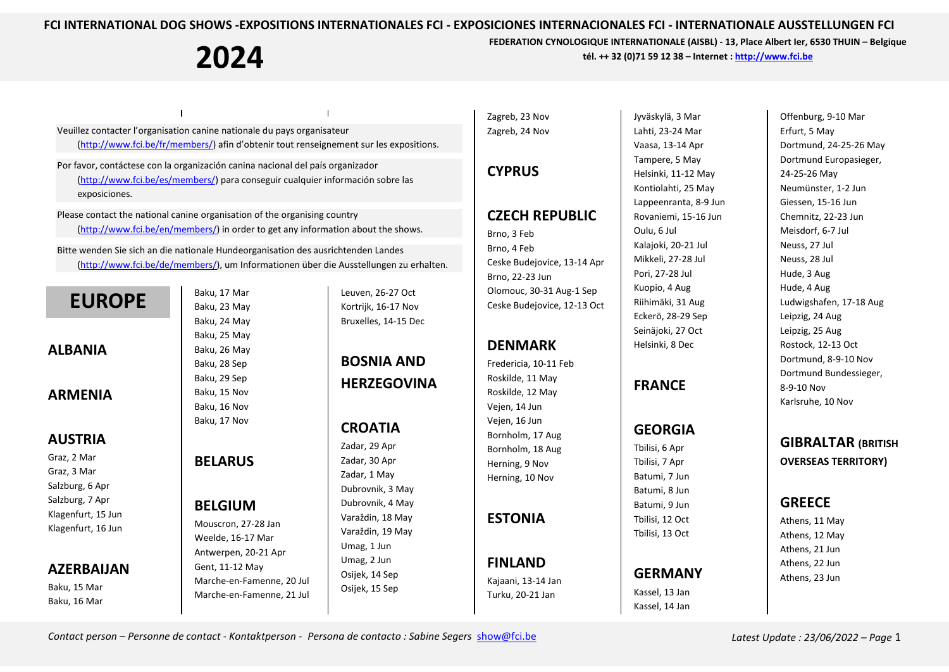**2024**

 $\overline{\phantom{a}}$ 

**FEDERATION CYNOLOGIQUE INTERNATIONALE (AISBL) - 13, Place Albert Ier, 6530 THUIN – Belgique tél. ++ 32 (0)71 59 12 38 – Internet [: http://www.fci.be](http://www.fci.be/)**

Veuillez contacter l'organisation canine nationale du pays organisateur [\(http://www.fci.be/fr/members/\)](http://www.fci.be/fr/members/) afin d'obtenir tout renseignement sur les expositions.

Por favor, contáctese con la organización canina nacional del país organizador [\(http://www.fci.be/es/members/\)](http://www.fci.be/es/members/) para conseguir cualquier información sobre las exposiciones.

Please contact the national canine organisation of the organising country [\(http://www.fci.be/en/members/\)](http://www.fci.be/en/members/) in order to get any information about the shows.

Bitte wenden Sie sich an die nationale Hundeorganisation des ausrichtenden Landes [\(http://www.fci.be/de/members/\)](http://www.fci.be/de/members/), um Informationen über die Ausstellungen zu erhalten.

## **EUROPE**

**ALBANIA**

#### **ARMENIA**

#### **AUSTRIA**

Graz, 2 Mar Graz, 3 Mar Salzburg, 6 Apr Salzburg, 7 Apr Klagenfurt, 15 Jun Klagenfurt, 16 Jun

#### **AZERBAIJAN**

Baku, 15 Mar Baku, 16 Mar

Baku, 17 Mar Baku, 23 May Baku, 24 May Baku, 25 May Baku, 26 May Baku, 28 Sep Baku, 29 Sep Baku, 15 Nov Baku, 16 Nov Baku, 17 Nov

#### **BELARUS**

#### **BELGIUM**

Mouscron, 27-28 Jan Weelde, 16-17 Mar Antwerpen, 20-21 Apr Gent, 11-12 May Marche-en-Famenne, 20 Jul Marche-en-Famenne, 21 Jul Leuven, 26-27 Oct Kortrijk, 16-17 Nov Bruxelles, 14-15 Dec

## **BOSNIA AND HERZEGOVINA**

## **CROATIA**

Zadar, 29 Apr Zadar, 30 Apr Zadar, 1 May Dubrovnik, 3 May Dubrovnik, 4 May Varaždin, 18 May Varaždin, 19 May Umag, 1 Jun Umag, 2 Jun Osijek, 14 Sep Osijek, 15 Sep

Zagreb, 23 Nov Zagreb, 24 Nov

#### **CYPRUS**

#### **CZECH REPUBLIC**

Brno, 3 Feb Brno, 4 Feb Ceske Budejovice, 13-14 Apr Brno, 22-23 Jun Olomouc, 30-31 Aug-1 Sep Ceske Budejovice, 12-13 Oct

#### **DENMARK**

Fredericia, 10-11 Feb Roskilde, 11 May Roskilde, 12 May Vejen, 14 Jun Vejen, 16 Jun Bornholm, 17 Aug Bornholm, 18 Aug Herning, 9 Nov Herning, 10 Nov

**ESTONIA**

**FINLAND** Kajaani, 13-14 Jan Turku, 20-21 Jan

Jyväskylä, 3 Mar Lahti, 23-24 Mar Vaasa, 13-14 Apr Tampere, 5 May Helsinki, 11-12 May Kontiolahti, 25 May Lappeenranta, 8-9 Jun Rovaniemi, 15-16 Jun Oulu, 6 Jul Kalajoki, 20-21 Jul Mikkeli, 27-28 Jul Pori, 27-28 Jul Kuopio, 4 Aug Riihimäki, 31 Aug Eckerö, 28-29 Sep Seinäjoki, 27 Oct Helsinki, 8 Dec

## **FRANCE**

## **GEORGIA**

Tbilisi, 6 Apr Tbilisi, 7 Apr Batumi, 7 Jun Batumi, 8 Jun Batumi, 9 Jun Tbilisi, 12 Oct Tbilisi, 13 Oct

## **GERMANY**

Kassel, 13 Jan Kassel, 14 Jan

Offenburg, 9-10 Mar Erfurt, 5 May Dortmund, 24-25-26 May Dortmund Europasieger, 24-25-26 May Neumünster, 1-2 Jun Giessen, 15-16 Jun Chemnitz, 22-23 Jun Meisdorf, 6-7 Jul Neuss, 27 Jul Neuss, 28 Jul Hude, 3 Aug Hude, 4 Aug Ludwigshafen, 17-18 Aug Leipzig, 24 Aug Leipzig, 25 Aug Rostock, 12-13 Oct Dortmund, 8-9-10 Nov Dortmund Bundessieger, 8-9-10 Nov Karlsruhe, 10 Nov

**GIBRALTAR (BRITISH OVERSEAS TERRITORY)**

#### **GREECE**

Athens, 11 May Athens, 12 May Athens, 21 Jun Athens, 22 Jun Athens, 23 Jun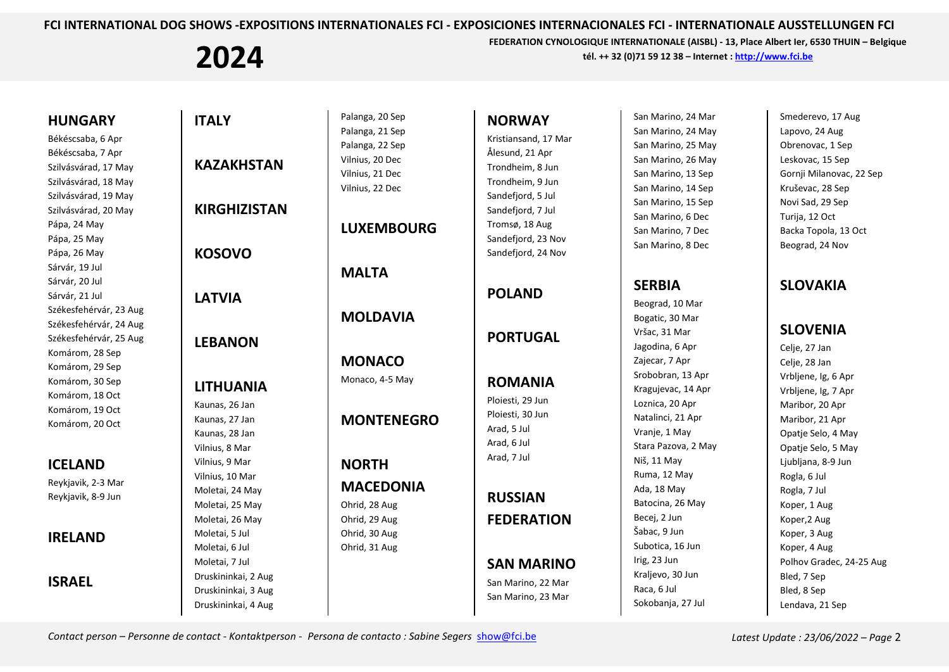# **2024**

**FEDERATION CYNOLOGIQUE INTERNATIONALE (AISBL) - 13, Place Albert Ier, 6530 THUIN – Belgique tél. ++ 32 (0)71 59 12 38 – Internet [: http://www.fci.be](http://www.fci.be/)**

| <b>HUNGARY</b><br>Békéscsaba, 6 Apr<br>Békéscsaba, 7 Apr<br>Szilvásvárad, 17 May<br>Szilvásvárad, 18 May<br>Szilvásvárad, 19 May<br>Szilvásvárad, 20 May<br>Pápa, 24 May<br>Pápa, 25 May<br>Pápa, 26 May<br>Sárvár, 19 Jul | <b>ITALY</b><br><b>KAZAKHSTAN</b><br><b>KIRGHIZISTAN</b><br><b>KOSOVO</b>                                               | Palanga, 20 Sep<br>Palanga, 21 Sep<br>Palanga, 22 Sep<br>Vilnius, 20 Dec<br>Vilnius, 21 Dec<br>Vilnius, 22 Dec<br><b>LUXEMBOURG</b> | <b>NORWAY</b><br>Kristiansand, 17 Mar<br>Ålesund, 21 Apr<br>Trondheim, 8 Jun<br>Trondheim, 9 Jun<br>Sandefjord, 5 Jul<br>Sandefjord, 7 Jul<br>Tromsø, 18 Aug<br>Sandefjord, 23 Nov<br>Sandefjord, 24 Nov | San Marino, 24 Mar<br>San Marino, 24 May<br>San Marino, 25 May<br>San Marino, 26 May<br>San Marino, 13 Sep<br>San Marino, 14 Sep<br>San Marino, 15 Sep<br>San Marino, 6 Dec<br>San Marino, 7 Dec<br>San Marino, 8 Dec |
|----------------------------------------------------------------------------------------------------------------------------------------------------------------------------------------------------------------------------|-------------------------------------------------------------------------------------------------------------------------|-------------------------------------------------------------------------------------------------------------------------------------|----------------------------------------------------------------------------------------------------------------------------------------------------------------------------------------------------------|-----------------------------------------------------------------------------------------------------------------------------------------------------------------------------------------------------------------------|
| Sárvár, 20 Jul<br>Sárvár, 21 Jul<br>Székesfehérvár, 23 Aug<br>Székesfehérvár, 24 Aug                                                                                                                                       | <b>LATVIA</b>                                                                                                           | <b>MALTA</b><br><b>MOLDAVIA</b>                                                                                                     | <b>POLAND</b>                                                                                                                                                                                            | <b>SERBIA</b><br>Beograd, 10 Mar<br>Bogatic, 30 Mar                                                                                                                                                                   |
| Székesfehérvár, 25 Aug<br><b>LEBANON</b><br>Komárom, 28 Sep<br>Komárom, 29 Sep                                                                                                                                             |                                                                                                                         | <b>MONACO</b><br>Monaco, 4-5 May                                                                                                    | <b>PORTUGAL</b>                                                                                                                                                                                          | Vršac, 31 Mar<br>Jagodina, 6 Apr<br>Zajecar, 7 Apr<br>Srobobran, 13 Apr<br>Kragujevac, 14 Apr<br>Loznica, 20 Apr<br>Natalinci, 21 Apr<br>Vranje, 1 May<br>Stara Pazova, 2 May                                         |
| Komárom, 30 Sep<br>Komárom, 18 Oct<br>Komárom, 19 Oct<br>Komárom, 20 Oct                                                                                                                                                   | <b>LITHUANIA</b><br>Kaunas, 26 Jan<br>Kaunas, 27 Jan<br>Kaunas, 28 Jan<br>Vilnius, 8 Mar                                | <b>MONTENEGRO</b>                                                                                                                   | <b>ROMANIA</b><br>Ploiesti, 29 Jun<br>Ploiesti, 30 Jun<br>Arad, 5 Jul<br>Arad, 6 Jul                                                                                                                     |                                                                                                                                                                                                                       |
| <b>ICELAND</b><br>Reykjavik, 2-3 Mar<br>Reykjavik, 8-9 Jun                                                                                                                                                                 | Vilnius, 9 Mar<br>Vilnius, 10 Mar<br>Moletai, 24 May<br>Moletai, 25 May<br>Moletai, 26 May                              | <b>NORTH</b><br><b>MACEDONIA</b><br>Ohrid, 28 Aug<br>Ohrid, 29 Aug                                                                  | Arad, 7 Jul<br><b>RUSSIAN</b><br><b>FEDERATION</b>                                                                                                                                                       | Niš, 11 May<br>Ruma, 12 May<br>Ada, 18 May<br>Batocina, 26 May<br>Becei, 2 Jun                                                                                                                                        |
| <b>IRELAND</b><br><b>ISRAEL</b>                                                                                                                                                                                            | Moletai, 5 Jul<br>Moletai, 6 Jul<br>Moletai, 7 Jul<br>Druskininkai, 2 Aug<br>Druskininkai, 3 Aug<br>Druskininkai, 4 Aug | Ohrid, 30 Aug<br>Ohrid, 31 Aug                                                                                                      | <b>SAN MARINO</b><br>San Marino, 22 Mar<br>San Marino, 23 Mar                                                                                                                                            | Šabac, 9 Jun<br>Subotica, 16 Jun<br>Irig, 23 Jun<br>Kraljevo, 30 Jun<br>Raca, 6 Jul<br>Sokobanja, 27 Jul                                                                                                              |

Smederevo, 17 Aug Lapovo, 24 Aug Obrenovac, 1 Sep Leskovac, 15 Sep Gornji Milanovac, 22 Sep Kruševac, 28 Sep Novi Sad, 29 Sep Turija, 12 Oct Backa Topola, 13 Oct Beograd, 24 Nov

#### **SLOVAKIA**

#### **SLOVENIA**

Celje, 27 Jan Celje, 28 Jan Vrbljene, Ig, 6 Apr Vrbljene, Ig, 7 Apr Maribor, 20 Apr Maribor, 21 Apr Opatje Selo, 4 May Opatje Selo, 5 May Ljubljana, 8-9 Jun Rogla, 6 Jul Rogla, 7 Jul Koper, 1 Aug Koper,2 Aug Koper, 3 Aug Koper, 4 Aug Polhov Gradec, 24-25 Aug Bled, 7 Sep Bled, 8 Sep Lendava, 21 Sep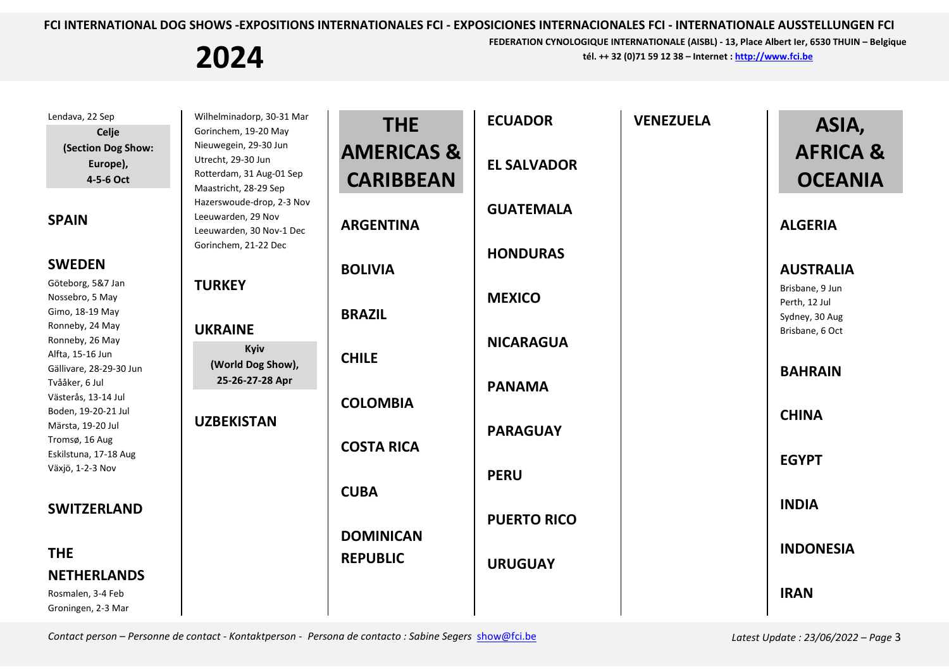**2024**

**FEDERATION CYNOLOGIQUE INTERNATIONALE (AISBL) - 13, Place Albert Ier, 6530 THUIN – Belgique tél. ++ 32 (0)71 59 12 38 – Internet [: http://www.fci.be](http://www.fci.be/)**

| Lendava, 22 Sep<br>Celje                                         | Wilhelminadorp, 30-31 Mar<br>Gorinchem, 19-20 May                                                                            | <b>THE</b>            | <b>ECUADOR</b>     | <b>VENEZUELA</b> | ASIA,                                              |
|------------------------------------------------------------------|------------------------------------------------------------------------------------------------------------------------------|-----------------------|--------------------|------------------|----------------------------------------------------|
| (Section Dog Show:                                               | Nieuwegein, 29-30 Jun<br>Utrecht, 29-30 Jun                                                                                  | <b>AMERICAS &amp;</b> |                    |                  | <b>AFRICA &amp;</b>                                |
| Europe),<br>4-5-6 Oct                                            | Rotterdam, 31 Aug-01 Sep                                                                                                     | <b>CARIBBEAN</b>      | <b>EL SALVADOR</b> |                  | <b>OCEANIA</b>                                     |
| <b>SPAIN</b>                                                     | Maastricht, 28-29 Sep<br>Hazerswoude-drop, 2-3 Nov<br>Leeuwarden, 29 Nov<br>Leeuwarden, 30 Nov-1 Dec<br>Gorinchem, 21-22 Dec | <b>ARGENTINA</b>      | <b>GUATEMALA</b>   |                  | <b>ALGERIA</b>                                     |
| <b>SWEDEN</b>                                                    |                                                                                                                              | <b>BOLIVIA</b>        | <b>HONDURAS</b>    |                  | <b>AUSTRALIA</b>                                   |
| Göteborg, 5&7 Jan<br>Nossebro, 5 May<br>Gimo, 18-19 May          | <b>TURKEY</b><br><b>UKRAINE</b><br>Kyiv                                                                                      | <b>BRAZIL</b>         | <b>MEXICO</b>      |                  | Brisbane, 9 Jun<br>Perth, 12 Jul<br>Sydney, 30 Aug |
| Ronneby, 24 May<br>Ronneby, 26 May<br>Alfta, 15-16 Jun           |                                                                                                                              |                       | <b>NICARAGUA</b>   |                  | Brisbane, 6 Oct                                    |
| Gällivare, 28-29-30 Jun<br>Tvååker, 6 Jul<br>Västerås, 13-14 Jul | (World Dog Show),<br>25-26-27-28 Apr                                                                                         | <b>CHILE</b>          | <b>PANAMA</b>      |                  | <b>BAHRAIN</b>                                     |
| Boden, 19-20-21 Jul<br>Märsta, 19-20 Jul                         | <b>UZBEKISTAN</b>                                                                                                            | <b>COLOMBIA</b>       | <b>PARAGUAY</b>    |                  | <b>CHINA</b>                                       |
| Tromsø, 16 Aug<br>Eskilstuna, 17-18 Aug<br>Växjö, 1-2-3 Nov      |                                                                                                                              | <b>COSTA RICA</b>     | <b>PERU</b>        |                  | <b>EGYPT</b>                                       |
| <b>SWITZERLAND</b>                                               |                                                                                                                              | <b>CUBA</b>           |                    |                  | <b>INDIA</b>                                       |
|                                                                  |                                                                                                                              | <b>DOMINICAN</b>      | <b>PUERTO RICO</b> |                  |                                                    |
| <b>THE</b>                                                       |                                                                                                                              | <b>REPUBLIC</b>       | <b>URUGUAY</b>     |                  | <b>INDONESIA</b>                                   |
| <b>NETHERLANDS</b>                                               |                                                                                                                              |                       |                    |                  |                                                    |
| Rosmalen, 3-4 Feb<br>Groningen, 2-3 Mar                          |                                                                                                                              |                       |                    |                  | <b>IRAN</b>                                        |

Contact person – Personne de contact - Kontaktperson - Persona de contacto : Sabine Segers [show@fci.be](mailto:show@fci.be) Latest Update : 23/06/2022 – Page 3